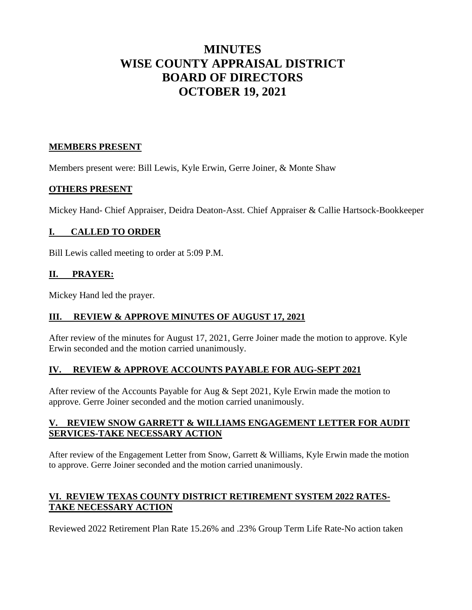# **MINUTES WISE COUNTY APPRAISAL DISTRICT BOARD OF DIRECTORS OCTOBER 19, 2021**

#### **MEMBERS PRESENT**

Members present were: Bill Lewis, Kyle Erwin, Gerre Joiner, & Monte Shaw

#### **OTHERS PRESENT**

Mickey Hand- Chief Appraiser, Deidra Deaton-Asst. Chief Appraiser & Callie Hartsock-Bookkeeper

## **I. CALLED TO ORDER**

Bill Lewis called meeting to order at 5:09 P.M.

## **II. PRAYER:**

Mickey Hand led the prayer.

## **III. REVIEW & APPROVE MINUTES OF AUGUST 17, 2021**

After review of the minutes for August 17, 2021, Gerre Joiner made the motion to approve. Kyle Erwin seconded and the motion carried unanimously.

## **IV. REVIEW & APPROVE ACCOUNTS PAYABLE FOR AUG-SEPT 2021**

After review of the Accounts Payable for Aug & Sept 2021, Kyle Erwin made the motion to approve. Gerre Joiner seconded and the motion carried unanimously.

## **V. REVIEW SNOW GARRETT & WILLIAMS ENGAGEMENT LETTER FOR AUDIT SERVICES-TAKE NECESSARY ACTION**

After review of the Engagement Letter from Snow, Garrett & Williams, Kyle Erwin made the motion to approve. Gerre Joiner seconded and the motion carried unanimously.

## **VI. REVIEW TEXAS COUNTY DISTRICT RETIREMENT SYSTEM 2022 RATES-TAKE NECESSARY ACTION**

Reviewed 2022 Retirement Plan Rate 15.26% and .23% Group Term Life Rate-No action taken